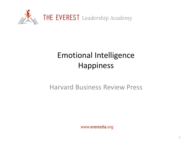

# Emotional Intelligence Happiness

#### Harvard Business Review Press

www.everestla.org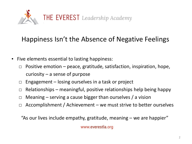

#### Happiness Isn't the Absence of Negative Feelings

- Five elements essential to lasting happiness:
	- $\Box$  Positive emotion peace, gratitude, satisfaction, inspiration, hope, curiosity – a sense of purpose
	- $\Box$  Engagement losing ourselves in a task or project
	- $\Box$  Relationships meaningful, positive relationships help being happy
	- $\Box$  Meaning serving a cause bigger than ourselves / a vision
	- $\Box$  Accomplishment / Achievement we must strive to better ourselves

"As our lives include empathy, gratitude, meaning – we are happier"

www.everestla.org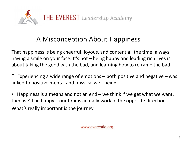

### A Misconception About Happiness

That happiness is being cheerful, joyous, and content all the time; always having a smile on your face. It's not – being happy and leading rich lives is about taking the good with the bad, and learning how to reframe the bad.

Experiencing a wide range of emotions  $-$  both positive and negative  $-$  was linked to positive mental and physical well-being"

 $\blacksquare$  Happiness is a means and not an end  $\lnot$  we think if we get what we want, then we'll be happy – our brains actually work in the opposite direction. What's really important is the journey.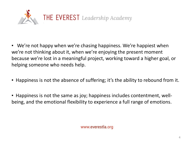

**E** We're not happy when we're chasing happiness. We're happiest when we're not thinking about it, when we're enjoying the present moment because we're lost in a meaningful project, working toward a higher goal, or helping someone who needs help.

▪ Happiness is not the absence of suffering; it's the ability to rebound from it.

▪ Happiness is not the same as joy; happiness includes contentment, wellbeing, and the emotional flexibility to experience a full range of emotions.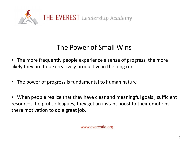

## The Power of Small Wins

- **•** The more frequently people experience a sense of progress, the more likely they are to be creatively productive in the long run
- The power of progress is fundamental to human nature
- When people realize that they have clear and meaningful goals, sufficient resources, helpful colleagues, they get an instant boost to their emotions, there motivation to do a great job.